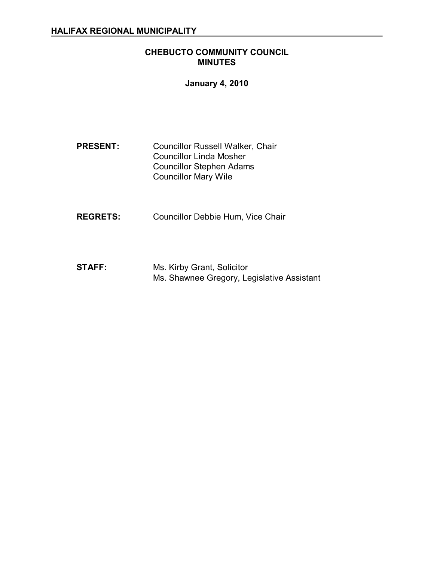### **CHEBUCTO COMMUNITY COUNCIL MINUTES**

#### **January 4, 2010**

- **PRESENT:** Councillor Russell Walker, Chair Councillor Linda Mosher Councillor Stephen Adams Councillor Mary Wile
- **REGRETS:** Councillor Debbie Hum, Vice Chair
- **STAFF:** Ms. Kirby Grant, Solicitor Ms. Shawnee Gregory, Legislative Assistant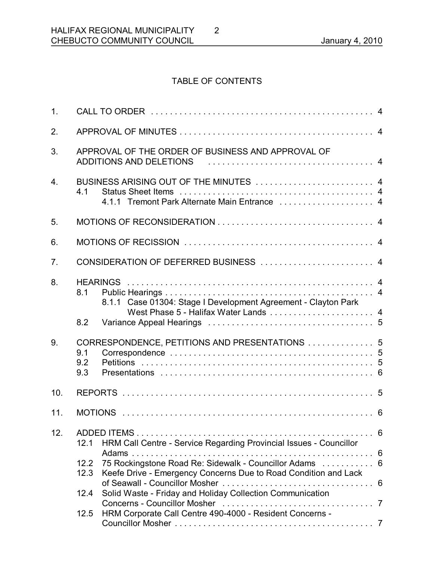# TABLE OF CONTENTS

2

| APPROVAL OF THE ORDER OF BUSINESS AND APPROVAL OF<br>ADDITIONS AND DELETIONS (and the contract of the ADDITIONS AND DELETIONS (and the contract of the contract of t                                                                                                                                                                                              |  |
|-------------------------------------------------------------------------------------------------------------------------------------------------------------------------------------------------------------------------------------------------------------------------------------------------------------------------------------------------------------------|--|
| BUSINESS ARISING OUT OF THE MINUTES  4<br>4.1<br>4.1.1 Tremont Park Alternate Main Entrance  4                                                                                                                                                                                                                                                                    |  |
|                                                                                                                                                                                                                                                                                                                                                                   |  |
|                                                                                                                                                                                                                                                                                                                                                                   |  |
| CONSIDERATION OF DEFERRED BUSINESS  4                                                                                                                                                                                                                                                                                                                             |  |
| 8.1<br>8.1.1 Case 01304: Stage I Development Agreement - Clayton Park<br>West Phase 5 - Halifax Water Lands  4<br>8.2                                                                                                                                                                                                                                             |  |
| CORRESPONDENCE, PETITIONS AND PRESENTATIONS  5<br>9.1<br>9.2<br>9.3                                                                                                                                                                                                                                                                                               |  |
|                                                                                                                                                                                                                                                                                                                                                                   |  |
|                                                                                                                                                                                                                                                                                                                                                                   |  |
| HRM Call Centre - Service Regarding Provincial Issues - Councillor<br>12.1<br>75 Rockingstone Road Re: Sidewalk - Councillor Adams  6<br>12.2<br>Keefe Drive - Emergency Concerns Due to Road Condition and Lack<br>12.3<br>Solid Waste - Friday and Holiday Collection Communication<br>12.4<br>HRM Corporate Call Centre 490-4000 - Resident Concerns -<br>12.5 |  |
|                                                                                                                                                                                                                                                                                                                                                                   |  |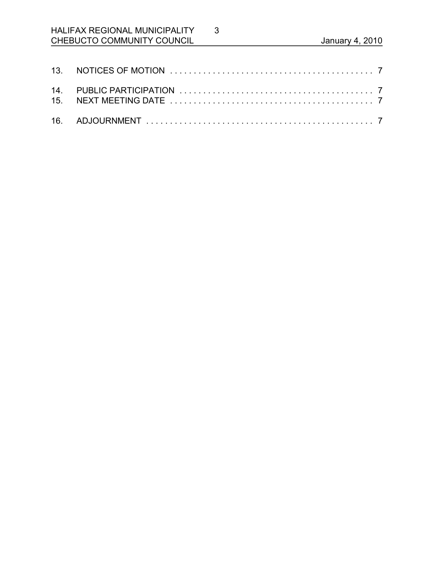# HALIFAX REGIONAL MUNICIPALITY CHEBUCTO COMMUNITY COUNCIL **CHEBUCTO** COMMUNITY COUNCIL

3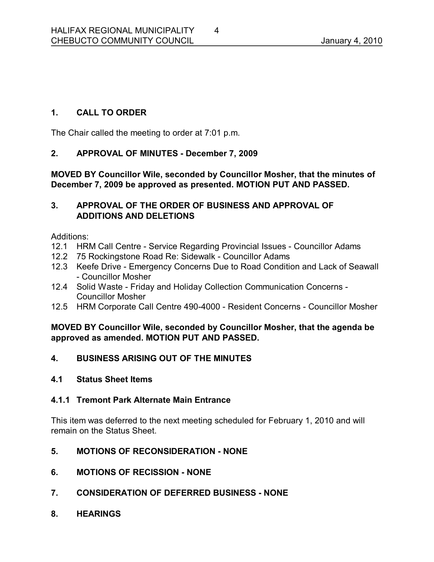## **1. CALL TO ORDER**

The Chair called the meeting to order at 7:01 p.m.

## **2. APPROVAL OF MINUTES December 7, 2009**

**MOVED BY Councillor Wile, seconded by Councillor Mosher, that the minutes of December 7, 2009 be approved as presented. MOTION PUT AND PASSED.** 

### **3. APPROVAL OF THE ORDER OF BUSINESS AND APPROVAL OF ADDITIONS AND DELETIONS**

Additions:

- 12.1 HRM Call Centre Service Regarding Provincial Issues Councillor Adams
- 12.2 75 Rockingstone Road Re: Sidewalk Councillor Adams
- 12.3 Keefe Drive Emergency Concerns Due to Road Condition and Lack of Seawall Councillor Mosher
- 12.4 Solid Waste Friday and Holiday Collection Communication Concerns -Councillor Mosher
- 12.5 HRM Corporate Call Centre 490-4000 Resident Concerns Councillor Mosher

**MOVED BY Councillor Wile, seconded by Councillor Mosher, that the agenda be approved as amended. MOTION PUT AND PASSED.** 

## **4. BUSINESS ARISING OUT OF THE MINUTES**

#### **4.1 Status Sheet Items**

#### **4.1.1 Tremont Park Alternate Main Entrance**

This item was deferred to the next meeting scheduled for February 1, 2010 and will remain on the Status Sheet.

- **5. MOTIONS OF RECONSIDERATION NONE**
- **6. MOTIONS OF RECISSION NONE**
- **7. CONSIDERATION OF DEFERRED BUSINESS NONE**
- **8. HEARINGS**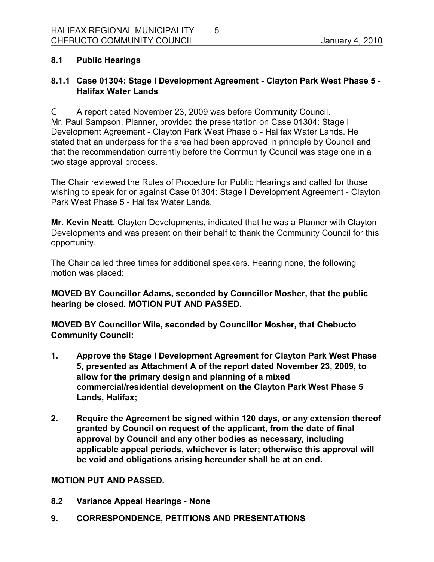## **8.1 Public Hearings**

## **8.1.1 Case 01304: Stage I Development Agreement Clayton Park West Phase 5 Halifax Water Lands**

C A report dated November 23, 2009 was before Community Council. Mr. Paul Sampson, Planner, provided the presentation on Case 01304: Stage I Development Agreement - Clayton Park West Phase 5 - Halifax Water Lands. He stated that an underpass for the area had been approved in principle by Council and that the recommendation currently before the Community Council was stage one in a two stage approval process.

The Chair reviewed the Rules of Procedure for Public Hearings and called for those wishing to speak for or against Case 01304: Stage I Development Agreement - Clayton Park West Phase 5 - Halifax Water Lands.

**Mr. Kevin Neatt**, Clayton Developments, indicated that he was a Planner with Clayton Developments and was present on their behalf to thank the Community Council for this opportunity.

The Chair called three times for additional speakers. Hearing none, the following motion was placed:

**MOVED BY Councillor Adams, seconded by Councillor Mosher, that the public hearing be closed. MOTION PUT AND PASSED.** 

**MOVED BY Councillor Wile, seconded by Councillor Mosher, that Chebucto Community Council:**

- **1. Approve the Stage I Development Agreement for Clayton Park West Phase 5, presented as Attachment A of the report dated November 23, 2009, to allow for the primary design and planning of a mixed commercial/residential development on the Clayton Park West Phase 5 Lands, Halifax;**
- **2. Require the Agreement be signed within 120 days, or any extension thereof granted by Council on request of the applicant, from the date of final approval by Council and any other bodies as necessary, including applicable appeal periods, whichever is later; otherwise this approval will be void and obligations arising hereunder shall be at an end.**

#### **MOTION PUT AND PASSED.**

- **8.2 Variance Appeal Hearings None**
- **9. CORRESPONDENCE, PETITIONS AND PRESENTATIONS**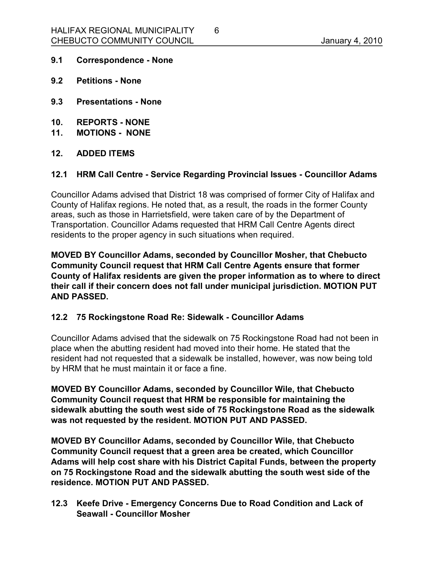- **9.1 Correspondence None**
- **9.2 Petitions None**
- **9.3 Presentations None**
- **10. REPORTS NONE**
- **11. MOTIONS NONE**
- **12. ADDED ITEMS**

#### **12.1 HRM Call Centre Service Regarding Provincial Issues Councillor Adams**

6

Councillor Adams advised that District 18 was comprised of former City of Halifax and County of Halifax regions. He noted that, as a result, the roads in the former County areas, such as those in Harrietsfield, were taken care of by the Department of Transportation. Councillor Adams requested that HRM Call Centre Agents direct residents to the proper agency in such situations when required.

**MOVED BY Councillor Adams, seconded by Councillor Mosher, that Chebucto Community Council request that HRM Call Centre Agents ensure that former County of Halifax residents are given the proper information as to where to direct their call if their concern does not fall under municipal jurisdiction. MOTION PUT AND PASSED.** 

#### **12.2 75 Rockingstone Road Re: Sidewalk Councillor Adams**

Councillor Adams advised that the sidewalk on 75 Rockingstone Road had not been in place when the abutting resident had moved into their home. He stated that the resident had not requested that a sidewalk be installed, however, was now being told by HRM that he must maintain it or face a fine.

**MOVED BY Councillor Adams, seconded by Councillor Wile, that Chebucto Community Council request that HRM be responsible for maintaining the sidewalk abutting the south west side of 75 Rockingstone Road as the sidewalk was not requested by the resident. MOTION PUT AND PASSED.** 

**MOVED BY Councillor Adams, seconded by Councillor Wile, that Chebucto Community Council request that a green area be created, which Councillor Adams will help cost share with his District Capital Funds, between the property on 75 Rockingstone Road and the sidewalk abutting the south west side of the residence. MOTION PUT AND PASSED.** 

**12.3 Keefe Drive Emergency Concerns Due to Road Condition and Lack of Seawall Councillor Mosher**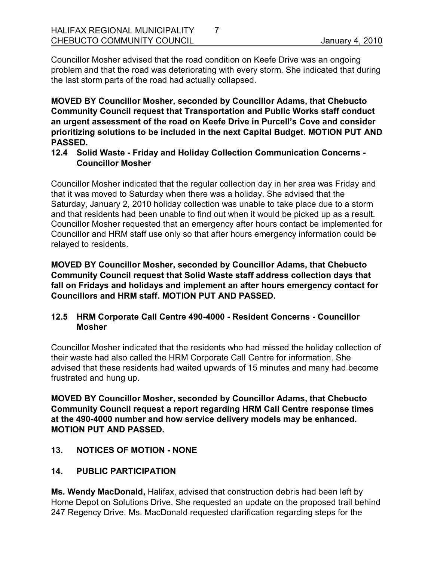Councillor Mosher advised that the road condition on Keefe Drive was an ongoing problem and that the road was deteriorating with every storm. She indicated that during the last storm parts of the road had actually collapsed.

7

**MOVED BY Councillor Mosher, seconded by Councillor Adams, that Chebucto Community Council request that Transportation and Public Works staff conduct an urgent assessment of the road on Keefe Drive in Purcell's Cove and consider prioritizing solutions to be included in the next Capital Budget. MOTION PUT AND PASSED.** 

**12.4 Solid Waste Friday and Holiday Collection Communication Concerns Councillor Mosher**

Councillor Mosher indicated that the regular collection day in her area was Friday and that it was moved to Saturday when there was a holiday. She advised that the Saturday, January 2, 2010 holiday collection was unable to take place due to a storm and that residents had been unable to find out when it would be picked up as a result. Councillor Mosher requested that an emergency after hours contact be implemented for Councillor and HRM staff use only so that after hours emergency information could be relayed to residents.

**MOVED BY Councillor Mosher, seconded by Councillor Adams, that Chebucto Community Council request that Solid Waste staff address collection days that fall on Fridays and holidays and implement an after hours emergency contact for Councillors and HRM staff. MOTION PUT AND PASSED.** 

## **12.5 HRM Corporate Call Centre 4904000 Resident Concerns Councillor Mosher**

Councillor Mosher indicated that the residents who had missed the holiday collection of their waste had also called the HRM Corporate Call Centre for information. She advised that these residents had waited upwards of 15 minutes and many had become frustrated and hung up.

**MOVED BY Councillor Mosher, seconded by Councillor Adams, that Chebucto Community Council request a report regarding HRM Call Centre response times at the 4904000 number and how service delivery models may be enhanced. MOTION PUT AND PASSED.** 

**13. NOTICES OF MOTION NONE**

## **14. PUBLIC PARTICIPATION**

**Ms. Wendy MacDonald,** Halifax, advised that construction debris had been left by Home Depot on Solutions Drive. She requested an update on the proposed trail behind 247 Regency Drive. Ms. MacDonald requested clarification regarding steps for the